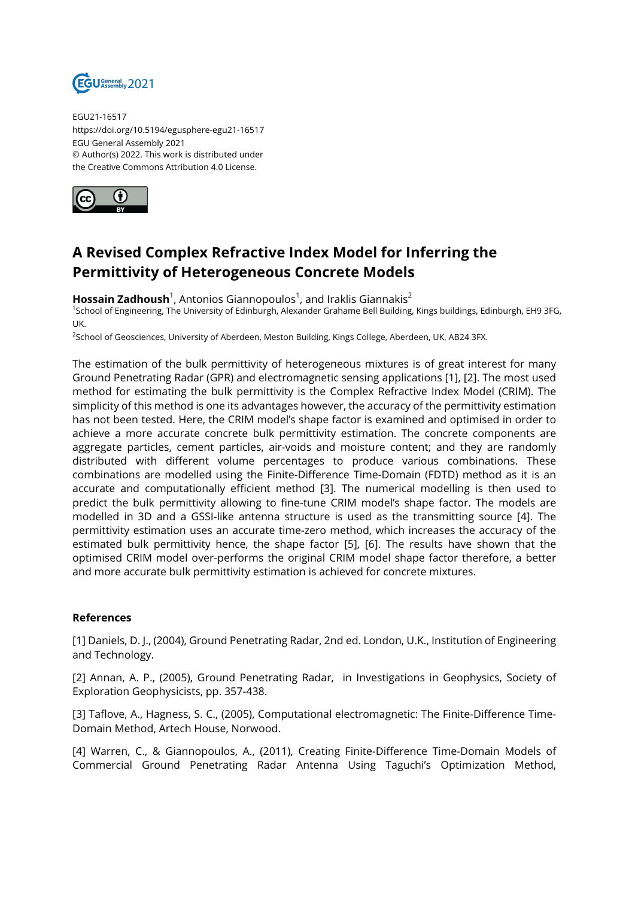

EGU21-16517 https://doi.org/10.5194/egusphere-egu21-16517 EGU General Assembly 2021 © Author(s) 2022. This work is distributed under the Creative Commons Attribution 4.0 License.



## **A Revised Complex Refractive Index Model for Inferring the Permittivity of Heterogeneous Concrete Models**

**Hossain Zadhoush**<sup>1</sup>, Antonios Giannopoulos<sup>1</sup>, and Iraklis Giannakis<sup>2</sup>

<sup>1</sup>School of Engineering, The University of Edinburgh, Alexander Grahame Bell Building, Kings buildings, Edinburgh, EH9 3FG, UK.

2 School of Geosciences, University of Aberdeen, Meston Building, Kings College, Aberdeen, UK, AB24 3FX.

The estimation of the bulk permittivity of heterogeneous mixtures is of great interest for many Ground Penetrating Radar (GPR) and electromagnetic sensing applications [1], [2]. The most used method for estimating the bulk permittivity is the Complex Refractive Index Model (CRIM). The simplicity of this method is one its advantages however, the accuracy of the permittivity estimation has not been tested. Here, the CRIM model's shape factor is examined and optimised in order to achieve a more accurate concrete bulk permittivity estimation. The concrete components are aggregate particles, cement particles, air-voids and moisture content; and they are randomly distributed with different volume percentages to produce various combinations. These combinations are modelled using the Finite-Difference Time-Domain (FDTD) method as it is an accurate and computationally efficient method [3]. The numerical modelling is then used to predict the bulk permittivity allowing to fine-tune CRIM model's shape factor. The models are modelled in 3D and a GSSI-like antenna structure is used as the transmitting source [4]. The permittivity estimation uses an accurate time-zero method, which increases the accuracy of the estimated bulk permittivity hence, the shape factor [5], [6]. The results have shown that the optimised CRIM model over-performs the original CRIM model shape factor therefore, a better and more accurate bulk permittivity estimation is achieved for concrete mixtures.

## **References**

[1] Daniels, D. J., (2004), Ground Penetrating Radar, 2nd ed. London, U.K., Institution of Engineering and Technology.

[2] Annan, A. P., (2005), Ground Penetrating Radar, in Investigations in Geophysics, Society of Exploration Geophysicists, pp. 357-438.

[3] Taflove, A., Hagness, S. C., (2005), Computational electromagnetic: The Finite-Difference Time-Domain Method, Artech House, Norwood.

[4] Warren, C., & Giannopoulos, A., (2011), Creating Finite-Difference Time-Domain Models of Commercial Ground Penetrating Radar Antenna Using Taguchi's Optimization Method,